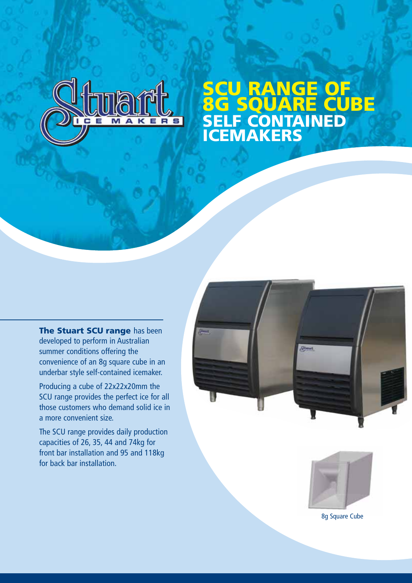

## **SCU RANGE OF 8G SQUARE CUBE SELF CONTAINED ICEMAKERS**

**The Stuart SCU range** has been developed to perform in Australian summer conditions offering the convenience of an 8g square cube in an underbar style self-contained icemaker.

Producing a cube of 22x22x20mm the SCU range provides the perfect ice for all those customers who demand solid ice in a more convenient size.

The SCU range provides daily production capacities of 26, 35, 44 and 74kg for front bar installation and 95 and 118kg for back bar installation.





8g Square Cube